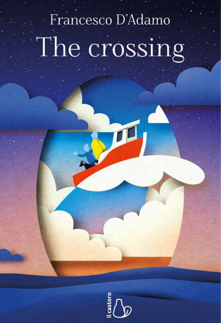# Francesco D'Adamo The crossing

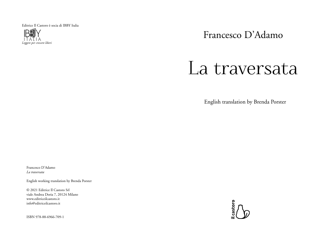Editrice Il Castoro è socia di IBBY Italia



Francesco D'Adamo

# La traversata

English translation by Brenda Porster

Francesco D'Adamo *La traversata*

English working translation by Brenda Porster

© 2021 Editrice Il Castoro Srl viale Andrea Doria 7, 20124 Milano www.editriceilcastoro.it info@editriceilcastoro.it

ISBN 978-88-6966-709-1

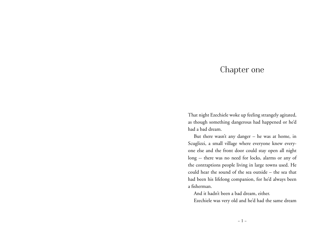### Chapter one

That night Ezechiele woke up feeling strangely agitated, as though something dangerous had happened or he'd had a bad dream.

But there wasn't any danger – he was at home, in Scuglizzi, a small village where everyone knew everyone else and the front door could stay open all night long -- there was no need for locks, alarms or any of the contraptions people living in large towns used. He could hear the sound of the sea outside – the sea that had been his lifelong companion, for he'd always been a fisherman.

And it hadn't been a bad dream, either.

Ezechiele was very old and he'd had the same dream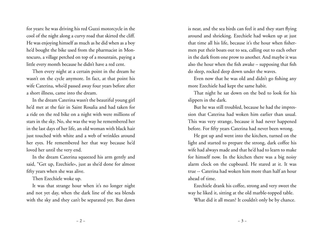for years: he was driving his red Guzzi motorcycle in the cool of the night along a curvy road that skirted the cliff. He was enjoying himself as much as he did when as a boy he'd bought the bike used from the pharmacist in Montescuro, a village perched on top of a mountain, paying a little every month because he didn't have a red cent.

Then every night at a certain point in the dream he wasn't on the cycle anymore. In fact, at that point his wife Caterina, who'd passed away four years before after a short illness, came into the dream.

In the dream Caterina wasn't the beautiful young girl he'd met at the fair in Saint Rosalia and had taken for a ride on the red bike on a night with were millions of stars in the sky. No, she was the way he remembered her in the last days of her life, an old woman with black hair just touched with white and a web of wrinkles around her eyes. He remembered her that way because he'd loved her until the very end.

In the dream Caterina squeezed his arm gently and said, "Get up, Ezechiele», just as she'd done for almost fifty years when she was alive.

Then Ezechiele woke up.

It was that strange hour when it's no longer night and not yet day, when the dark line of the sea blends with the sky and they can't be separated yet. But dawn

is near, and the sea birds can feel it and they start flying around and shrieking. Ezechiele had woken up at just that time all his life, because it's the hour when fishermen put their boats out to sea, calling out to each other in the dark from one prow to another. And maybe it was also the hour when the fish awake – supposing that fish do sleep, rocked deep down under the waves.

Even now that he was old and didn't go fishing any more Ezechiele had kept the same habit.

That night he sat down on the bed to look for his slippers in the dark.

But he was still troubled, because he had the impression that Caterina had woken him earlier than usual. This was very strange, because it had never happened before. For fifty years Caterina had never been wrong.

He got up and went into the kitchen, turned on the light and started to prepare the strong, dark coffee his wife had always made and that he'd had to learn to make for himself now. In the kitchen there was a big noisy alarm clock on the cupboard. He stared at it. It was true -- Caterina had woken him more than half an hour ahead of time.

Ezechiele drank his coffee, strong and very sweet the way he liked it, sitting at the old marble-topped table.

What did it all mean? It couldn't only be by chance.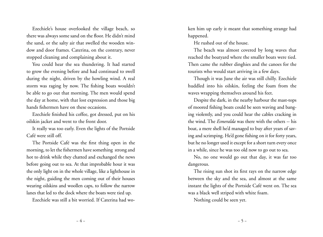Ezechiele's house overlooked the village beach, so there was always some sand on the floor. He didn't mind the sand, or the salty air that swelled the wooden window and door frames. Caterina, on the contrary, never stopped cleaning and complaining about it.

You could hear the sea thundering. It had started to grow the evening before and had continued to swell during the night, driven by the howling wind. A real storm was raging by now. The fishing boats wouldn't be able to go out that morning. The men would spend the day at home, with that lost expression and those big hands fishermen have on these occasions.

Ezechiele finished his coffee, got dressed, put on his oilskin jacket and went to the front door.

It really was too early. Even the lights of the Portside Café were still off.

The Portside Café was the first thing open in the morning, to let the fishermen have something strong and hot to drink while they chatted and exchanged the news before going out to sea. At that improbable hour it was the only light on in the whole village, like a lighthouse in the night, guiding the men coming out of their houses wearing oilskins and woollen caps, to follow the narrow lanes that led to the dock where the boats were tied up.

Ezechiele was still a bit worried. If Caterina had wo-

ken him up early it meant that something strange had happened.

He rushed out of the house.

The beach was almost covered by long waves that reached the boatyard where the smaller boats were tied. Then came the rubber dinghies and the canoes for the tourists who would start arriving in a few days.

Though it was June the air was still chilly. Ezechiele huddled into his oilskin, feeling the foam from the waves wrapping themselves around his feet.

Despite the dark, in the nearby harbour the mast-tops of moored fishing boats could be seen waving and banging violently, and you could hear the cables cracking in the wind. The *Esmeralda* was there with the others -- his boat, a mere shell he'd managed to buy after years of saving and scrimping. He'd gone fishing on it for forty years, but he no longer used it except for a short turn every once in a while, since he was too old now to go out to sea.

No, no one would go out that day, it was far too dangerous.

The rising sun shot its first rays on the narrow edge between the sky and the sea, and almost at the same instant the lights of the Portside Café went on. The sea was a black well striped with white foam.

Nothing could be seen yet.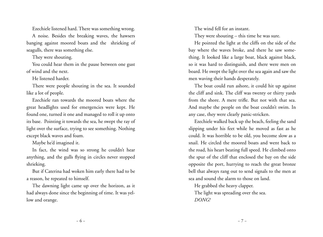Ezechiele listened hard. There was something wrong.

A noise. Besides the breaking waves, the hawsers banging against moored boats and the shrieking of seagulls, there was something else.

They were shouting.

You could hear them in the pause between one gust of wind and the next.

He listened harder.

There were people shouting in the sea. It sounded like a lot of people.

Ezechiele ran towards the moored boats where the great headlights used for emergencies were kept. He found one, turned it one and managed to roll it up onto its base. Pointing it towards the sea, he swept the ray of light over the surface, trying to see something. Nothing except black waves and foam.

Maybe he'd imagined it.

In fact, the wind was so strong he couldn't hear anything, and the gulls flying in circles never stopped shrieking.

But if Caterina had woken him early there had to be a reason, he repeated to himself.

The dawning light came up over the horizon, as it had always done since the beginning of time. It was yellow and orange.

The wind fell for an instant.

They were shouting – this time he was sure.

He pointed the light at the cliffs on the side of the bay where the waves broke, and there he saw something. It looked like a large boat, black against black, so it was hard to distinguish, and there were men on board. He swept the light over the sea again and saw the men waving their hands desperately.

The boat could run ashore, it could hit up against the cliff and sink. The cliff was twenty or thirty yards from the shore. A mere trifle. But not with that sea. And maybe the people on the boat couldn't swim. In any case, they were clearly panic-stricken.

Ezechiele walked back up the beach, feeling the sand slipping under his feet while he moved as fast as he could. It was horrible to be old, you become slow as a snail. He circled the moored boats and went back to the road, his heart beating full speed. He climbed onto the spur of the cliff that enclosed the bay on the side opposite the port, hurrying to reach the great bronze bell that always rang out to send signals to the men at sea and sound the alarm to those on land.

He grabbed the heavy clapper. The light was spreading over the sea. *DONG!*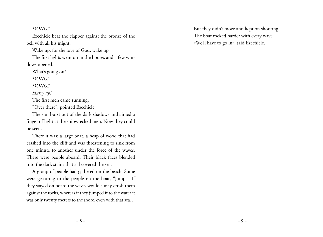#### *DONG!!*

Ezechiele beat the clapper against the bronze of the bell with all his might.

Wake up, for the love of God, wake up!

The first lights went on in the houses and a few windows opened.

What's going on?

*DONG!*

*DONG!!*

*Hurry up!*

The first men came running.

"Over there", pointed Ezechiele.

The sun burst out of the dark shadows and aimed a finger of light at the shipwrecked men. Now they could be seen.

There it was: a large boat, a heap of wood that had crashed into the cliff and was threatening to sink from one minute to another under the force of the waves. There were people aboard. Their black faces blended into the dark stains that sill covered the sea.

A group of people had gathered on the beach. Some were gesturing to the people on the boat, "Jump!". If they stayed on board the waves would surely crush them against the rocks, whereas if they jumped into the water it was only twenty meters to the shore, even with that sea…

But they didn't move and kept on shouting. The boat rocked harder with every wave. «We'll have to go in», said Ezechiele.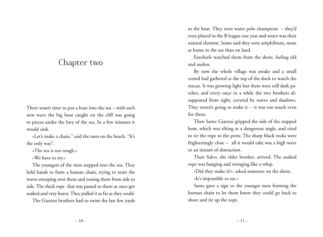## Chapter two

There wasn't time to put a boat into the sea – with each new wave the big boat caught on the cliff was going to pieces under the fury of the sea. In a few minutes it would sink.

«Let's make a chain," said the men on the beach. "It's the only way".

«The sea is too rough.»

«We have to try.»

The youngest of the men stepped into the sea. They held hands to form a human chain, trying to resist the waves sweeping over them and tossing them from side to side. The thick rope that was passed to them at once got soaked and very heavy. They pulled it as far as they could.

The Giarresi brothers had to swim the last few yards

to the boat. They were water polo champions – they'd even played in the B league one year and water was their natural element. Some said they were amphibians, more at home in the sea than on land.

Ezechiele watched them from the shore, feeling old and useless.

By now the whole village was awake and a small crowd had gathered at the top of the dock to watch the rescue. It was growing light but there were still dark patches, and every once in a while the two brothers disappeared from sight, covered by waves and shadows. They weren't going to make it -- it was too much even for them.

Then Sante Giarresi gripped the side of the trapped boat, which was tilting at a dangerous angle, and tried to tie the rope to the prow. The sharp black rocks were frighteningly close -- all it would take was a high wave or an instant of distraction.

Then Salvo, the elder brother, arrived. The soaked rope was banging and swinging like a whip.

«Did they make it?», asked someone on the shore. «It's impossible to see.»

Sante gave a sign to the younger men forming the human chain to let them know they could go back to shore and tie up the rope.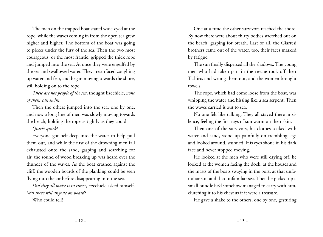The men on the trapped boat stared wide-eyed at the rope, while the waves coming in from the open sea grew higher and higher. The bottom of the boat was going to pieces under the fury of the sea. Then the two most courageous, or the most frantic, gripped the thick rope and jumped into the sea. At once they were engulfed by the sea and swallowed water. They resurfaced coughing up water and fear, and began moving towards the shore, still holding on to the rope.

*These are not people of the sea*, thought Ezechiele, *none of them can swim.*

Then the others jumped into the sea, one by one, and now a long line of men was slowly moving towards the beach, holding the rope as tightly as they could.

#### *Quick! quick!*

Everyone got belt-deep into the water to help pull them out, and while the first of the drowning men fall exhausted onto the sand, gasping and searching for air, the sound of wood breaking up was heard over the thunder of the waves. As the boat crashed against the cliff, the wooden boards of the planking could be seen flying into the air before disappearing into the sea.

*Did they all make it in time?*, Ezechiele asked himself. *Was there still anyone on board?*

Who could tell?

One at a time the other survivors reached the shore. By now there were about thirty bodies stretched out on the beach, gasping for breath. Last of all, the Giarresi brothers came out of the water, too, their faces marked by fatigue.

The sun finally dispersed all the shadows. The young men who had taken part in the rescue took off their T-shirts and wrung them out, and the women brought towels.

The rope, which had come loose from the boat, was whipping the water and hissing like a sea serpent. Then the waves carried it out to sea.

No one felt like talking. They all stayed there in silence, feeling the first rays of sun warm on their skin.

Then one of the survivors, his clothes soaked with water and sand, stood up painfully on trembling legs and looked around, stunned. His eyes shone in his dark face and never stopped moving.

He looked at the men who were still drying off, he looked at the women facing the dock, at the houses and the masts of the boats swaying in the port, at that unfamiliar sun and that unfamiliar sea. Then he picked up a small bundle he'd somehow managed to carry with him, clutching it to his chest as if it were a treasure.

He gave a shake to the others, one by one, gesturing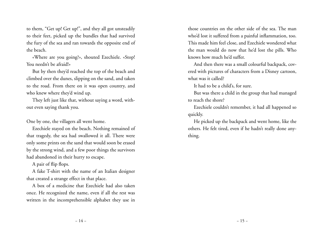to them, "Get up! Get up!", and they all got unsteadily to their feet, picked up the bundles that had survived the fury of the sea and ran towards the opposite end of the beach.

«Where are you going?», shouted Ezechiele. «Stop! You needn't be afraid!»

But by then they'd reached the top of the beach and climbed over the dunes, slipping on the sand, and taken to the road. From there on it was open country, and who knew where they'd wind up.

They left just like that, without saying a word, without even saying thank you.

One by one, the villagers all went home.

Ezechiele stayed on the beach. Nothing remained of that tragedy, the sea had swallowed it all. There were only some prints on the sand that would soon be erased by the strong wind, and a few poor things the survivors had abandoned in their hurry to escape.

A pair of flip flops.

A fake T-shirt with the name of an Italian designer that created a strange effect in that place.

A box of a medicine that Ezechiele had also taken once. He recognized the name, even if all the rest was written in the incomprehensible alphabet they use in

those countries on the other side of the sea. The man who'd lost it suffered from a painful inflammation, too. This made him feel close, and Ezechiele wondered what the man would do now that he'd lost the pills. Who knows how much he'd suffer.

And then there was a small colourful backpack, covered with pictures of characters from a Disney cartoon, what was it called?

It had to be a child's, for sure.

But was there a child in the group that had managed to reach the shore?

Ezechiele couldn't remember, it had all happened so quickly.

He picked up the backpack and went home, like the others. He felt tired, even if he hadn't really done anything.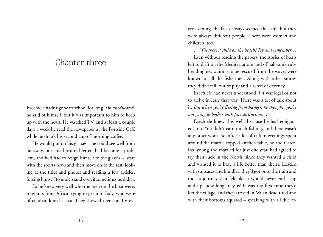## Chapter three

Ezechiele hadn't gone to school for long. *I'm uneducated,* he said of himself, but it was important to him to keep up with the news. He watched TV, and at least a couple days a week he read the newspaper at the Portside Café while he drank his second cup of morning coffee.

He would put on his glasses – he could see well from far away, but small printed letters had become a problem, and he'd had to resign himself to the glasses –, start with the sports news and then move on to the rest, looking at the titles and photos and reading a few articles, forcing himself to understand even if sometimes he didn't.

So he knew very well who the men on the boat were: migrants from Africa trying to get into Italy, who were often abandoned at sea. They showed them on TV every evening, the faces always seemed the same but they were always different people. There were women and children, too.

*… Was there a child on the beach? Try and remember…*

Even without reading the papers, the stories of boats left to drift on the Mediterranean and of half-sunk rubber dinghies waiting to be rescued from the waves were known to all the fishermen. Along with other stories they didn't tell, out of pity and a sense of decency.

Ezechiele had never understood if it was legal or not to arrive in Italy that way. There was a lot of talk about it. *But when you're fleeing from hunger, he thought, you're not going to bother with fine distinctions. .* 

Ezechiele knew this well, because he had emigrated, too. You didn't earn much fishing, and there wasn't any other work. So, after a lot of talk in evenings spent around the marble-topped kitchen table, he and Caterina, young and married for just one year, had agreed to try their luck in the North, since they wanted a child and wanted it to have a life better than theirs. Loaded with suitcases and bundles, they'd got onto the train and took a journey that felt like it would never end – up and up, how long Italy is! It was the first time they'd left the village, and they arrived in Milan dead tired and with their bottoms squared – speaking with all due re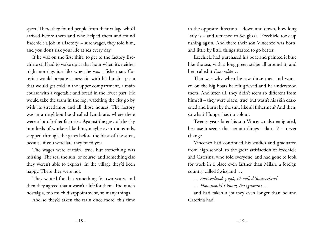spect. There they found people from their village who'd arrived before them and who helped them and found Ezechiele a job in a factory – sure wages, they told him, and you don't risk your life at sea every day.

If he was on the first shift, to get to the factory Ezechiele still had to wake up at that hour when it's neither night nor day, just like when he was a fisherman. Caterina would prepare a mess tin with his lunch --pasta that would get cold in the upper compartment, a main course with a vegetable and bread in the lower part. He would take the tram in the fog, watching the city go by with its streetlamps and all those houses. The factory was in a neighbourhood called Lambrate, where there were a lot of other factories. Against the grey of the sky hundreds of workers like him, maybe even thousands, stepped through the gates before the blast of the siren, because if you were late they fined you.

The wages were certain, true, but something was missing. The sea, the sun, of course, and something else they weren't able to express. In the village they'd been happy. There they were not.

They waited for that something for two years, and then they agreed that it wasn't a life for them. Too much nostalgia, too much disappointment, so many things.

And so they'd taken the train once more, this time

in the opposite direction – down and down, how long Italy is – and returned to Scuglizzi. Ezechiele took up fishing again. And there their son Vincenzo was born, and little by little things started to go better.

Ezechiele had purchased his boat and painted it blue like the sea, with a long green stripe all around it, and he'd called it *Esmeralda*…

That was why when he saw those men and women on the big boats he felt grieved and he understood them. And after all, they didn't seem so different from himself – they were black, true, but wasn't his skin darkened and burnt by the sun, like all fishermen? And then, so what? Hunger has no colour.

Twenty years later his son Vincenzo also emigrated, because it seems that certain things – darn it! -- never change.

Vincenzo had continued his studies and graduated from high school, to the great satisfaction of Ezechiele and Caterina, who told everyone, and had gone to look for work in a place even farther than Milan, a foreign country called Swissland …

*… Switzerland, papà, it's called Switzerland.*

*… How would I know, I'm ignorant …*

and had taken a journey even longer than he and Caterina had.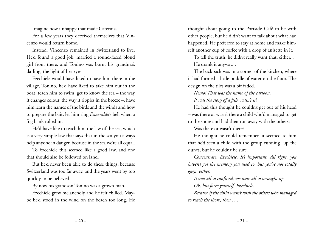Imagine how unhappy that made Caterina.

For a few years they deceived themselves that Vincenzo would return home.

Instead, Vincenzo remained in Switzerland to live. He'd found a good job, married a round-faced blond girl from there, and Tonino was born, his grandma's darling, the light of her eyes.

Ezechiele would have liked to have him there in the village, Tonino, he'd have liked to take him out in the boat, teach him to swim, get to know the sea – the way it changes colour, the way it ripples in the breeze –, have him learn the names of the birds and the winds and how to prepare the bait, let him ring *Esmeralda'*s bell when a fog bank rolled in.

He'd have like to teach him the law of the sea, which is a very simple law that says that in the sea you always help anyone in danger, because in the sea we're all equal.

To Ezechiele this seemed like a good law, and one that should also be followed on land.

But he'd never been able to do these things, because Switzerland was too far away, and the years went by too quickly to be believed.

By now his grandson Tonino was a grown man.

Ezechiele grew melancholy and he felt chilled. Maybe he'd stood in the wind on the beach too long. He

thought about going to the Portside Café to be with other people, but he didn't want to talk about what had happened. He preferred to stay at home and make himself another cup of coffee with a drop of anisette in it.

To tell the truth, he didn't really want that, either. . He drank it anyway. .

The backpack was in a corner of the kitchen, where it had formed a little puddle of water on the floor. The design on the tiles was a bit faded.

*Nemo! That was the name of the cartoon. It was the story of a fish, wasn't it?*

He had this thought he couldn't get out of his head – was there or wasn't there a child who'd managed to get to the shore and had then run away with the others? Was there or wasn't there?

He thought he could remember, it seemed to him that he'd seen a child with the group running up the dunes, but he couldn't be sure.

*Concentrate, Ezechiele. It's important. All right, you haven't got the memory you used to, but you're not totally gaga, either.* 

*It was all so confused, we were all so wrought up. Ok, but force yourself, Ezechiele.*

*Because if the child wasn't with the others who managed to reach the shore, then ….*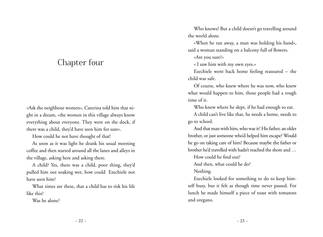# Chapter four

«Ask the neighbour women», Caterina told him that night in a dream, «the women in this village always know everything about everyone. They were on the dock, if there was a child, they'd have seen him for sure».

How could he not have thought of that!

As soon as it was light he drank his usual morning coffee and then started around all the lanes and alleys in the village, asking here and asking there.

A child? Yes, there was a child, poor thing, they'd pulled him out soaking wet, how could Ezechiele not have seen him?

What times are these, that a child has to risk his life like this?

Was he alone?

Who knows? But a child doesn't go travelling around the world alone.

«When he ran away, a man was holding his hand», said a woman standing on a balcony full of flowers.

«Are you sure?»

« I saw him with my own eyes.»

Ezechiele went back home feeling reassured -- the child was safe.

Of course, who knew where he was now, who knew what would happen to him, those people had a rough time of it.

Who knew where he slept, if he had enough to eat.

A child can't live like that, he needs a home, needs to go to school.

And that man with him, who was it? His father, an older brother, or just someone who'd helped him escape? Would he go on taking care of him? Because maybe the father or brother he'd travelled with hadn't reached the shore and …

How could he find out?

And then, what could he do?

Nothing.

Ezechiele looked for something to do to keep himself busy, but it felt as though time never passed. For lunch he made himself a piece of toast with tomatoes and oregano.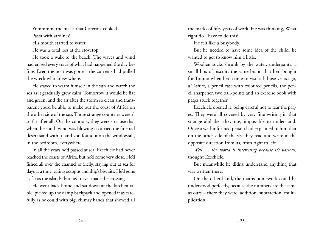Yummmm, the meals that Caterina cooked.

Pasta with sardines!

His mouth started to water.

He was a total loss at the stovetop.

He took a walk to the beach. The waves and wind had erased every trace of what had happened the day before. Even the boat was gone – the currents had pulled the wreck who knew where.

He stayed to warm himself in the sun and watch the sea as it gradually grew calm. Tomorrow it would be flat and green, and the air after the storm so clean and transparent you'd be able to make out the coast of Africa on the other side of the sea. Those strange countries weren't so far after all. On the contrary, they were so close that when the south wind was blowing it carried the fine red desert sand with it, and you found it on the windowsill, in the bedroom, everywhere.

In all the years he'd passed at sea, Ezechiele had never reached the coasts of Africa, but he'd come very close. He'd fished all over the channel of Sicily, staying out at sea for days at a time, eating octopus and ship's biscuits. He'd gone as far as the islands, but he'd never made the crossing.

He went back home and sat down at the kitchen table, picked up the damp backpack and opened it as carefully as he could with big, clumsy hands that showed all

the marks of fifty years of work. He was thinking, What right do I have to do this?

He felt like a busybody.

But he needed to have some idea of the child, he wanted to get to know him a little.

Woollen socks shrunk by the water, underpants, a small box of biscuits the same brand that he'd bought for Tonino when he'd come to visit all those years ago, a T-shirt, a pencil case with coloured pencils, the pencil sharpener, two ball-points and an exercise book with pages stuck together.

Ezechiele opened it, being careful not to tear the pages. They were all covered by very fine writing in that strange alphabet they use, impossible to understand. Once a well-informed person had explained to him that on the other side of the sea they read and write in the opposite direction from us, from right to left.

*Well … the world is interesting because it's various,*  thought Ezechiele.

But meanwhile he didn't understand anything that was written there.

On the other hand, the maths homework could be understood perfectly, because the numbers are the same as ours – there they were, addition, subtraction, multiplication.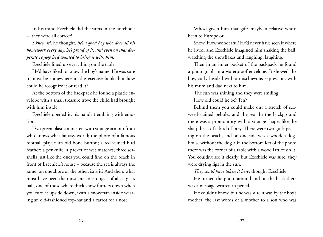In his mind Ezechiele did the sums in the notebook – they were all correct!

*I knew it!*, he thought, *he's a good boy who does all his homework every day, he's proud of it, and even on that desperate voyage he'd wanted to bring it with him.* 

Ezechiele lined up everything on the table.

He'd have liked to know the boy's name. He was sure it must be somewhere in the exercise book, but how could he recognize it or read it?

At the bottom of the backpack he found a plastic envelope with a small treasure trove the child had brought with him inside.

Ezechiele opened it, his hands trembling with emotion.

Two green plastic monsters with strange armour from who knows what fantasy world; the photo of a famous football player; an old bone button; a red-veined bird feather; a penknife; a packet of wet matches; three seashells just like the ones you could find on the beach in front of Ezechiele's house – because the sea is always the same, on one shore or the other, isn't it? And then, what must have been the most precious object of all, a glass ball, one of those where thick snow flutters down when you turn it upside down, with a snowman inside wearing an old-fashioned top-hat and a carrot for a nose.

Who'd given him that gift? maybe a relative who'd been to Europe or …

Snow! How wonderful! He'd never have seen it where he lived, and Ezechiele imagined him shaking the ball, watching the snowflakes and laughing, laughing.

Then in an inner pocket of the backpack he found a photograph in a waterproof envelope. It showed the boy, curly-headed with a mischievous expression, with his mum and dad next to him.

The sun was shining and they were smiling. How old could he be? Ten?

Behind them you could make out a stretch of seaweed-stained pebbles and the sea. In the background there was a promontory with a strange shape, like the sharp beak of a bird of prey. There were two gulls pecking on the beach, and on one side was a wooden doghouse without the dog. On the bottom left of the photo there was the corner of a table with a wood lattice on it. You couldn't see it clearly, but Ezechiele was sure: they were drying figs in the sun.

*They could have taken it here*, thought Ezechiele.

He turned the photo around and on the back there was a message written in pencil.

He couldn't know, but he was sure it was by the boy's mother, the last words of a mother to a son who was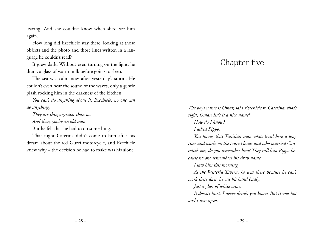leaving. And she couldn't know when she'd see him again.

How long did Ezechiele stay there, looking at those objects and the photo and those lines written in a language he couldn't read?

It grew dark. Without even turning on the light, he drank a glass of warm milk before going to sleep.

The sea was calm now after yesterday's storm. He couldn't even hear the sound of the waves, only a gentle plash rocking him in the darkness of the kitchen.

*You can't do anything about it, Ezechiele, no one can do anything.* 

*They are things greater than us.* 

*And then, you're an old man.* 

But he felt that he had to do something.

That night Caterina didn't come to him after his dream about the red Guzzi motorcycle, and Ezechiele knew why – the decision he had to make was his alone.

# Chapter five

*The boy's name is Omar, said Ezechiele to Caterina, that's right, Omar! Isn't it a nice name? How do I know?* 

*I asked Pippo.* 

*You know, that Tunisian man who's lived here a long time and works on the tourist boats and who married Concetta's son, do you remember him? They call him Pippo because no one remembers his Arab name.* 

*I saw him this morning.* 

*At the Wisteria Tavern, he was there because he can't work these days, he cut his hand badly.* 

*Just a glass of white wine.* 

*It doesn't hurt. I never drink, you know. But it was hot and I was upset.*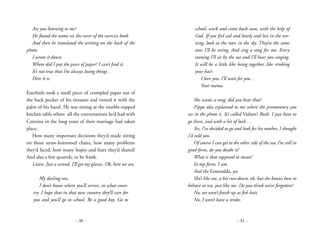*Are you listening to me? He found the name on the cover of the exercise book. And then he translated the writing on the back of the photo.* 

*I wrote it down. Where did I put the piece of paper? I can't find it. It's not true that I'm always losing things. . Here it is.* 

Ezechiele took a small piece of crumpled paper out of the back pocket of his trousers and ironed it with the palm of his hand. He was sitting at the marble-topped kitchen table where all the conversations he'd had with Caterina in the long years of their marriage had taken place.

How many important decisions they'd made sitting on those straw-bottomed chairs, how many problems they'd faced, how many hopes and fears they'd shared! And also a few quarrels, to be frank.

*Listen. Just a second, I'll get my glasses. Ok, here we are.* 

*My darling son, I don't know where you'll arrive, in what country. I hope that in that new country they'll care for you and you'll go to school. Be a good boy. Go to* 

*school, work and come back soon, with the help of God. If you feel sad and lonely and lost in the evening, look at the stars in the sky. They're the same ones I'll be seeing. And sing a song for me. Every evening I'll sit by the sea and I'll hear you singing. It will be a little like being together, like stroking your hair.* 

*I love you. I'll wait for you. . Your mama*

*She wants a song, did you hear that?*

*Pippo also explained to me where the promontory you see in the photo is. It's called Vulture's Beak. I just have to go there, and with a bit of luck …*

*Yes, I've decided to go and look for his mother, I thought I'd told you.*

*Of course I can get to the other side of the sea, I'm still in good form, do you doubt it?* 

*What is that supposed to mean?*

*In top form, I am.* 

*And the* Esmeralda*, yes.* 

*She's like me, a bit run-down, ok, but she knows how to* 

*behave at sea, just like me. Do you think we've forgotten?* 

*No, we won't finish up as fish bait.* 

*No, I won't have a stroke.*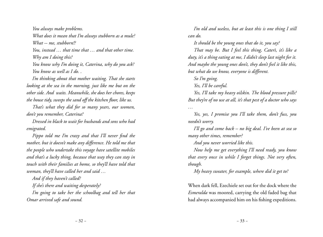*You always make problems. What does it mean that I'm always stubborn as a mule? What -- me, stubborn!? You, instead … that time that … and that other time. Why am I doing this? You know why I'm doing it, Caterina, why do you ask? You know as well as I do. .*

*I'm thinking about that mother waiting. That she starts looking at the sea in the morning, just like me but on the other side. And waits. Meanwhile, she does her chores, keeps the house tidy, sweeps the sand off the kitchen floor, like us.* 

*That's what they did for so many years, our women, don't you remember, Caterina?* 

*Dressed in black to wait for husbands and sons who had emigrated.* 

*Pippo told me I'm crazy and that I'll never find the mother, but it doesn't make any difference. He told me that the people who undertake this voyage have satellite mobiles and that's a lucky thing, because that way they can stay in touch with their families at home, so they'll have told that woman, they'll have called her and said …*

*And if they haven't called?*

*If she's there and waiting desperately?*

*I'm going to take her the schoolbag and tell her that Omar arrived safe and sound.*

*I'm old and useless, but at least this is one thing I still can do.* 

*It should be the young ones that do it, you say?*

*That may be. But I feel this thing, Caterì, it's like a duty, it's a thing eating at me, I didn't sleep last night for it. And maybe the young ones don't, they don't feel it like this, but what do we know, everyone is different.* 

*So I'm going.* 

*Yes, I'll be careful.* 

*Yes, I'll take my heavy oilskin. The blood pressure pills? But they're of no use at all, it's that pest of a doctor who says …*

*Yes, yes, I promise you I'll take them, don't fuss, you needn't worry.* 

*I'll go and come back – no big deal. I've been at sea so many other times, remember?* 

*And you never worried like this.* 

*Now help me get everything I'll need ready, you know that every once in while I forget things. Not very often, though.* 

*My heavy sweater, for example, where did it get to?*

When dark fell, Ezechiele set out for the dock where the *Esmeralda* was moored, carrying the old faded bag that had always accompanied him on his fishing expeditions.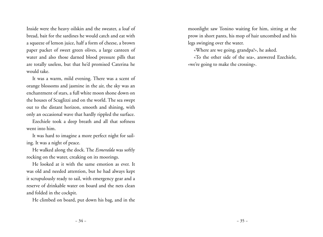Inside were the heavy oilskin and the sweater, a loaf of bread, bait for the sardines he would catch and eat with a squeeze of lemon juice, half a form of cheese, a brown paper packet of sweet green olives, a large canteen of water and also those darned blood pressure pills that are totally useless, but that he'd promised Caterina he would take.

It was a warm, mild evening. There was a scent of orange blossoms and jasmine in the air, the sky was an enchantment of stars, a full white moon shone down on the houses of Scuglizzi and on the world. The sea swept out to the distant horizon, smooth and shining, with only an occasional wave that hardly rippled the surface.

Ezechiele took a deep breath and all that softness went into him.

It was hard to imagine a more perfect night for sailing. It was a night of peace.

He walked along the dock. The *Esmeralda* was softly rocking on the water, creaking on its moorings.

He looked at it with the same emotion as ever. It was old and needed attention, but he had always kept it scrupulously ready to sail, with emergency gear and a reserve of drinkable water on board and the nets clean and folded in the cockpit.

He climbed on board, put down his bag, and in the

moonlight saw Tonino waiting for him, sitting at the prow in short pants, his mop of hair uncombed and his legs swinging over the water.

«Where are we going, grandpa?», he asked.

«To the other side of the sea», answered Ezechiele, «we're going to make the crossing».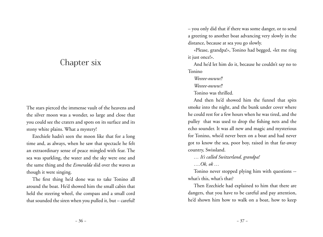## Chapter six

The stars pierced the immense vault of the heavens and the silver moon was a wonder, so large and close that you could see the craters and spots on its surface and its stony white plains. What a mystery!

Ezechiele hadn't seen the moon like that for a long time and, as always, when he saw that spectacle he felt an extraordinary sense of peace mingled with fear. The sea was sparkling, the water and the sky were one and the same thing and the *Esmeralda* slid over the waves as though it were singing.

The first thing he'd done was to take Tonino all around the boat. He'd showed him the small cabin that held the steering wheel, the compass and a small cord that sounded the siren when you pulled it, but – careful! – you only did that if there was some danger, or to send a greeting to another boat advancing very slowly in the distance, because at sea you go slowly.

«Please, grandpa!», Tonino had begged, «let me ring it just once!».

And he'd let him do it, because he couldn't say no to Tonino

*Weeeee-owww!!*

*Weeeee-owww!!*

Tonino was thrilled.

And then he'd showed him the funnel that spits smoke into the night, and the bunk under cover where he could rest for a few hours when he was tired, and the pulley that was used to drop the fishing nets and the echo sounder. It was all new and magic and mysterious for Tonino, who'd never been on a boat and had never got to know the sea, poor boy, raised in that far-away country, Swissland.

*… It's called Switzerland, grandpa!*

*….Ok, ok …*

Tonino never stopped plying him with questions - what's this, what's that?

Then Ezechiele had explained to him that there are dangers, that you have to be careful and pay attention, he'd shown him how to walk on a boat, how to keep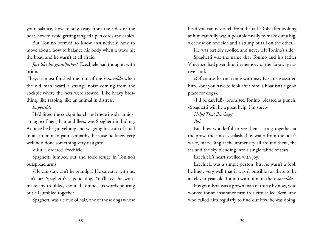your balance, how to stay away from the sides of the boat, how to avoid getting tangled up in cords and cables.

But Tonino seemed to know instinctively how to move about, how to balance his body when a wave hit the boat, and he wasn't at all afraid.

*Just like his grandfather!*, Ezechiele had thought, with pride.

They'd almost finished the tour of the *Esmeralda* when the old man heard a strange noise coming from the cockpit where the nets were stowed. Like heavy breathing, like rasping, like an animal in distress.

#### *Impossible.*

He'd lifted the cockpit hatch and there inside, amidst a tangle of nets, hair and flees, was Spaghetti in hiding. At once he began yelping and wagging his stub of a tail in an attempt to gain sympathy, because he knew very well he'd done something very naughty.

«Out!», ordered Ezechiele.

Spaghetti jumped out and took refuge in Tonino's outspread arms.

«He can stay, can't he grandpa? He can stay with us, can't he? Spaghetti's a good dog, You'll see, he won't make any trouble», shouted Tonino, his words pouring out all jumbled together.

Spaghetti was a cloud of hair, one of those dogs whose

head you can never tell from the tail. Only after looking at him carefully was it possible finally to make out a big, wet nose on one side and a stump of tail on the other.

He was terribly spoiled and never left Tonino's side.

Spaghetti was the name that Tonino and his father Vincenzo had given him in memory of the far-away native land.

«Of course he can come with us», Ezechiele assured him, «but you have to look after him, a boat isn't a good place for dogs».

«I'll be careful!», promised Tonino, pleased as punch. «Spaghetti will be a great help, I'm sure.»

#### *Help? That flea-bag?*

#### *Bah.*

But how wonderful to see them sitting together at the prow, their noses splashed by water from the boat's wake, marvelling at the immensity all around them, the sea and the sky blending into a single fabric of stars.

Ezechiele's heart swelled with joy.

Ezechiele was a simple person, but he wasn't a fool: he knew very well that it wasn't possible for there to be an eleven-year-old Tonino with him on the *Esmeralda*.

His grandson was a grown man of thirty by now, who worked for an insurance firm in a city called Bern, and who called him regularly to find out how he was doing.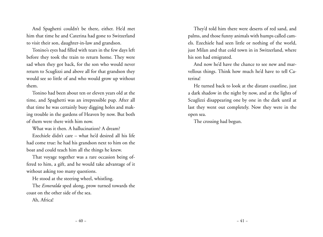And Spaghetti couldn't be there, either. He'd met him that time he and Caterina had gone to Switzerland to visit their son, daughter-in-law and grandson.

Tonino's eyes had filled with tears in the few days left before they took the train to return home. They were sad when they got back, for the son who would never return to Scuglizzi and above all for that grandson they would see so little of and who would grow up without them.

Tonino had been about ten or eleven years old at the time, and Spaghetti was an irrepressible pup. After all that time he was certainly busy digging holes and making trouble in the gardens of Heaven by now. But both of them were there with him now.

What was it then. A hallucination? A dream?

Ezechiele didn't care – what he'd desired all his life had come true: he had his grandson next to him on the boat and could teach him all the things he knew.

That voyage together was a rare occasion being offered to him, a gift, and he would take advantage of it without asking too many questions.

He stood at the steering wheel, whistling.

The *Esmeralda* sped along, prow turned towards the coast on the other side of the sea.

Ah, Africa!

They'd told him there were deserts of red sand, and palms, and those funny animals with humps called camels. Ezechiele had seen little or nothing of the world, just Milan and that cold town in in Switzerland, where his son had emigrated.

And now he'd have the chance to see new and marvellous things. Think how much he'd have to tell Caterina!

He turned back to look at the distant coastline, just a dark shadow in the night by now, and at the lights of Scuglizzi disappearing one by one in the dark until at last they went out completely. Now they were in the open sea.

The crossing had begun.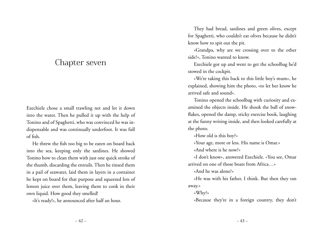### Chapter seven

Ezechiele chose a small trawling net and let it down into the water. Then he pulled it up with the help of Tonino and of Spaghetti, who was convinced he was indispensable and was continually underfoot. It was full of fish.

He threw the fish too big to be eaten on board back into the sea, keeping only the sardines. He showed Tonino how to clean them with just one quick stroke of the thumb, discarding the entrails. Then he rinsed them in a pail of seawater, laid them in layers in a container he kept on board for that purpose and squeezed lots of lemon juice over them, leaving them to cook in their own liquid. How good they smelled!

«It's ready!», he announced after half an hour.

They had bread, sardines and green olives, except for Spaghetti, who couldn't eat olives because he didn't know how to spit out the pit.

«Grandpa, why are we crossing over to the other side?», Tonino wanted to know.

Ezechiele got up and went to get the schoolbag he'd stowed in the cockpit.

«We're taking this back to this little boy's mum», he explained, showing him the photo, «to let her know he arrived safe and sound».

Tonino opened the schoolbag with curiosity and examined the objects inside. He shook the ball of snowflakes, opened the damp, sticky exercise book, laughing at the funny writing inside, and then looked carefully at the photo.

«How old is this boy?»

«Your age, more or less. His name is Omar.»

«And where is he now?»

«I don't know», answered Ezechiele. «You see, Omar arrived on one of those boats from Africa…»

«And he was alone?»

«He was with his father, I think. But then they ran away.»

«Why?»

«Because they're in a foreign country, they don't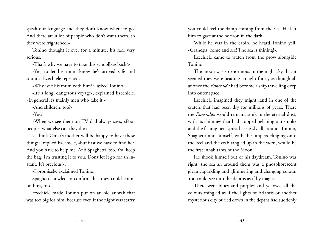speak our language and they don't know where to go. And there are a lot of people who don't want them, so they were frightened.»

Tonino thought it over for a minute, his face very serious.

«That's why we have to take this schoolbag back?»

«Yes, to let his mum know he's arrived safe and sound», Ezechiele repeated.

«Why isn't his mum with him?», asked Tonino.

«It's a long, dangerous voyage», explained Ezechiele. «In general it's mainly men who take it.»

«And children, too?»

«Yes»

«When we see them on TV dad always says, «Poor people, what else can they do?»

«I think Omar's mother will be happy to have these things», replied Ezechiele, «but first we have to find her. And you have to help me. And Spaghetti, too. You keep the bag, I'm trusting it to you. Don't let it go for an instant. It's precious!».

«I promise!», exclaimed Tonino.

Spaghetti howled to confirm that they could count on him, too.

Ezechiele made Tonino put on an old anorak that was too big for him, because even if the night was starry you could feel the damp coming from the sea. He left him to gaze at the horizon in the dark.

While he was in the cabin, he heard Tonino yell, «Grandpa, come and see! The sea is shining!».

Ezechiele came to watch from the prow alongside Tonino.

The moon was so enormous in the night sky that it seemed they were heading straight for it, as though all at once the *Esmeralda* had become a ship travelling deep into outer space.

Ezechiele imagined they might land in one of the craters that had been dry for millions of years. There the *Esmeralda* would remain, sunk in the eternal dust, with its chimney that had stopped belching out smoke and the fishing nets spread uselessly all around. Tonino, Spaghetti and himself, with the limpets clinging onto the keel and the crab tangled up in the stern, would be the first inhabitants of the Moon.

He shook himself out of his daydream. Tonino was right: the sea all around them was a phosphorescent gleam, sparkling and glimmering and changing colour. You could see into the depths as if by magic.

There were blues and purples and yellows, all the colours mingled as if the lights of Atlantis or another mysterious city buried down in the depths had suddenly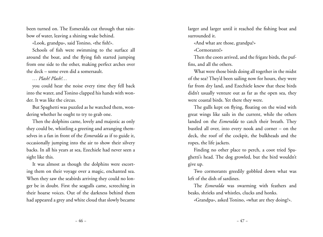been turned on. The Esmeralda cut through that rainbow of water, leaving a shining wake behind.

«Look, grandpa», said Tonino, «the fish!».

Schools of fish were swimming to the surface all around the boat, and the flying fish started jumping from one side to the other, making perfect arches over the deck – some even did a somersault.

#### *… Plash! Plash!…*

you could hear the noise every time they fell back into the water, and Tonino clapped his hands with wonder. It was like the circus.

But Spaghetti was puzzled as he watched them, wondering whether he ought to try to grab one.

Then the dolphins came, lovely and majestic as only they could be, whistling a greeting and arranging themselves in a fan in front of the *Esmeralda* as if to guide it, occasionally jumping into the air to show their silvery backs. In all his years at sea, Ezechiele had never seen a sight like this.

It was almost as though the dolphins were escorting them on their voyage over a magic, enchanted sea. When they saw the seabirds arriving they could no longer be in doubt. First the seagulls came, screeching in their hoarse voices. Out of the darkness behind them had appeared a grey and white cloud that slowly became

larger and larger until it reached the fishing boat and surrounded it.

«And what are those, grandpa?»

«Cormorants!»

Then the coots arrived, and the frigate birds, the puffins, and all the others.

What were those birds doing all together in the midst of the sea? They'd been sailing now for hours, they were far from dry land, and Ezechiele knew that these birds didn't usually venture out as far as the open sea, they were coastal birds. Yet there they were.

The gulls kept on flying, floating on the wind with great wings like sails in the current, while the others landed on the *Esmeralda* to catch their breath. They bustled all over, into every nook and corner – on the deck, the roof of the cockpit, the bulkheads and the ropes, the life jackets.

Finding no other place to perch, a coot tried Spaghetti's head. The dog growled, but the bird wouldn't give up.

Two cormorants greedily gobbled down what was left of the dish of sardines.

The *Esmeralda* was swarming with feathers and beaks, shrieks and whistles, clucks and honks.

«Grandpa», asked Tonino, «what are they doing?».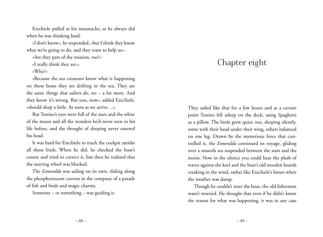Ezechiele pulled at his moustache, as he always did when he was thinking hard.

«I don't know», he responded, «but I think they know what we're going to do, and they want to help us».

«Are they part of the mission, too?»

«I really think they are.»

«Why?»

«Because the sea creatures know what is happening on those boats they see drifting in the sea. They see the same things that sailors do, no – a lot more. And they know it's wrong. But you, now», added Ezechiele, «should sleep a little. As soon as we arrive…».

But Tonino's eyes were full of the stars and the white of the moon and all the wonders he'd never seen in his life before, and the thought of sleeping never entered his head.

It was hard for Ezechiele to reach the cockpit amidst all those birds. When he did, he checked the boat's course and tried to correct it, but then he realized that the steering wheel was blocked.

The *Esmeralda* was sailing on its own, sliding along the phosphorescent current in the company of a parade of fish and birds and magic charms.

Someone – or something – was guiding it.

# Chapter eight

They sailed like that for a few hours and at a certain point Tonino fell asleep on the deck, using Spaghetti as a pillow. The birds grew quiet, too, sleeping silently, some with their head under their wing, others balanced on one leg. Drawn by the mysterious force that controlled it, the *Esmeralda* continued its voyage, gliding over a smooth sea suspended between the stars and the moon. Now in the silence you could hear the plash of waves against the keel and the boat's old wooden boards creaking in the wind, rather like Ezechiele's bones when the weather was damp.

Though he couldn't steer the boat, the old fisherman wasn't worried. He thought that even if he didn't know the reason for what was happening, it was in any case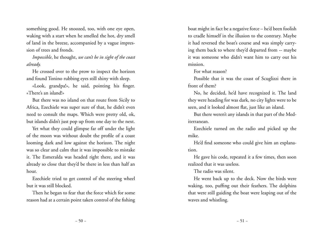something good. He snoozed, too, with one eye open, waking with a start when he smelled the hot, dry smell of land in the breeze, accompanied by a vague impression of trees and fronds.

*Impossible*, he thought, *we can't be in sight of the coast already.* 

He crossed over to the prow to inspect the horizon and found Tonino rubbing eyes still shiny with sleep.

«Look, grandpa!», he said, pointing his finger. «There's an island!»

But there was no island on that route from Sicily to Africa, Ezechiele was super sure of that, he didn't even need to consult the maps. Which were pretty old, ok, but islands didn't just pop up from one day to the next.

Yet what they could glimpse far off under the light of the moon was without doubt the profile of a coast looming dark and low against the horizon. The night was so clear and calm that it was impossible to mistake it. The Esmeralda was headed right there, and it was already so close that they'd be there in less than half an hour.

Ezechiele tried to get control of the steering wheel but it was still blocked.

Then he began to fear that the force which for some reason had at a certain point taken control of the fishing boat might in fact be a negative force – he'd been foolish to cradle himself in the illusion to the contrary. Maybe it had reversed the boat's course and was simply carrying them back to where they'd departed from -- maybe it was someone who didn't want him to carry out his mission.

For what reason?

Possible that it was the coast of Scuglizzi there in front of them?

No, he decided, he'd have recognized it. The land they were heading for was dark, no city lights were to be seen, and it looked almost flat, just like an island.

But there weren't any islands in that part of the Mediterranean.

Ezechiele turned on the radio and picked up the mike.

He'd find someone who could give him an explanation.

He gave his code, repeated it a few times, then soon realized that it was useless.

The radio was silent.

He went back up to the deck. Now the birds were waking, too, puffing out their feathers. The dolphins that were still guiding the boat were leaping out of the waves and whistling.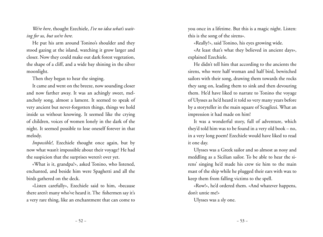*We're here*, thought Ezechiele, *I've no idea what's waiting for us, but we're here.* 

He put his arm around Tonino's shoulder and they stood gazing at the island, watching it grow larger and closer. Now they could make out dark forest vegetation, the shape of a cliff, and a wide bay shining in the silver moonlight.

Then they began to hear the singing.

It came and went on the breeze, now sounding closer and now farther away. It was an achingly sweet, melancholy song, almost a lament. It seemed to speak of very ancient but never-forgotten things, things we hold inside us without knowing. It seemed like the crying of children, voices of women lonely in the dark of the night. It seemed possible to lose oneself forever in that melody.

*Impossible!*, Ezechiele thought once again, but by now what wasn't impossible about their voyage? He had the suspicion that the surprises weren't over yet.

«What is it, grandpa?», asked Tonino, who listened, enchanted, and beside him were Spaghetti and all the birds gathered on the deck.

«Listen carefully», Ezechiele said to him, «because there aren't many who've heard it. The fishermen say it's a very rare thing, like an enchantment that can come to

you once in a lifetime. But this is a magic night. Listen: this is the song of the sirens».

«Really?», said Tonino, his eyes growing wide.

«At least that's what they believed in ancient days», explained Ezechiele.

He didn't tell him that according to the ancients the sirens, who were half woman and half bird, bewitched sailors with their song, drawing them towards the rocks they sang on, leading them to sink and then devouring them. He'd have liked to narrate to Tonino the voyage of Ulysses as he'd heard it told so very many years before by a storyteller in the main square of Scuglizzi. What an impression it had made on him!

It was a wonderful story, full of adventure, which they'd told him was to be found in a very old book – no, in a very long poem! Ezechiele would have liked to read it one day.

Ulysses was a Greek sailor and so almost as nosy and meddling as a Sicilian sailor. To be able to hear the sirens' singing he'd made his crew tie him to the main mast of the ship while he plugged their ears with wax to keep them from falling victims to the spell.

«Row!», he'd ordered them. «And whatever happens, don't untie me!»

Ulysses was a sly one.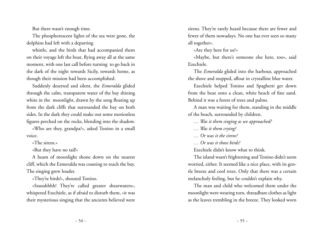But there wasn't enough time.

The phosphorescent lights of the sea were gone, the dolphins had left with a departing

whistle, and the birds that had accompanied them on their voyage left the boat, flying away all at the same moment, with one last call before turning to go back in the dark of the night towards Sicily, towards home, as though their mission had been accomplished.

Suddenly deserted and silent, the *Esmeralda* glided through the calm, transparent water of the bay shining white in the moonlight, drawn by the song floating up from the dark cliffs that surrounded the bay on both sides. In the dark they could make out some motionless figures perched on the rocks, blending into the shadow.

«Who are they, grandpa?», asked Tonino in a small voice.

«The sirens.»

«But they have no tail!»

A beam of moonlight shone down on the nearest cliff, which the Esmeralda was coasting to reach the bay. The singing grew louder.

«They're birds!», shouted Tonino.

«Sssssshhhh! They're called greater shearwaters», whispered Ezechiele, as if afraid to disturb them, «it was their mysterious singing that the ancients believed were sirens. They're rarely heard because there are fewer and fewer of them nowadays. No one has ever seen so many all together».

«Are they here for us?»

«Maybe, but there's someone else here, too», said Ezechiele.

The *Esmeralda* glided into the harbour, approached the shore and stopped, afloat in crystalline blue water.

Ezechiele helped Tonino and Spaghetti get down from the boat onto a clean, white beach of fine sand. Behind it was a forest of trees and palms.

A man was waiting for them, standing in the middle of the beach, surrounded by children.

*… Was it them singing as we approached?*

- *… Was it them crying?*
- *… Or was it the sirens?*
- *… Or was it those birds?*

Ezechiele didn't know what to think.

The island wasn't frightening and Tonino didn't seem worried, either. It seemed like a nice place, with its gentle breeze and cool trees. Only that there was a certain melancholy feeling, but he couldn't explain why.

The man and child who welcomed them under the moonlight were wearing torn, threadbare clothes as light as the leaves trembling in the breeze. They looked worn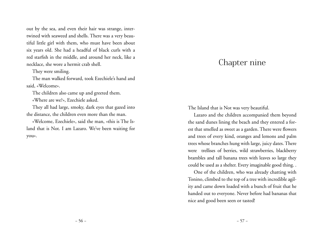out by the sea, and even their hair was strange, intertwined with seaweed and shells. There was a very beautiful little girl with them, who must have been about six years old. She had a headful of black curls with a red starfish in the middle, and around her neck, like a necklace, she wore a hermit crab shell.

They were smiling.

The man walked forward, took Ezechiele's hand and said, «Welcome».

The children also came up and greeted them.

«Where are we?», Ezechiele asked.

They all had large, smoky, dark eyes that gazed into the distance, the children even more than the man.

«Welcome, Ezechiele», said the man, «this is The Island that is Not. I am Lazaro. We've been waiting for you».

## Chapter nine

The Island that is Not was very beautiful.

Lazaro and the children accompanied them beyond the sand dunes lining the beach and they entered a forest that smelled as sweet as a garden. There were flowers and trees of every kind, oranges and lemons and palm trees whose branches hung with large, juicy dates. There were trellises of berries, wild strawberries, blackberry brambles and tall banana trees with leaves so large they could be used as a shelter. Every imaginable good thing. .

One of the children, who was already chatting with Tonino, climbed to the top of a tree with incredible agility and came down loaded with a bunch of fruit that he handed out to everyone. Never before had bananas that nice and good been seen or tasted!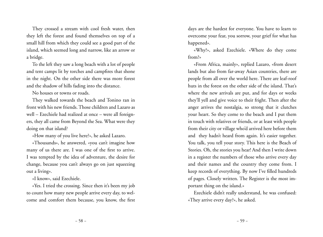They crossed a stream with cool fresh water, then they left the forest and found themselves on top of a small hill from which they could see a good part of the island, which seemed long and narrow, like an arrow or a bridge.

To the left they saw a long beach with a lot of people and tent camps lit by torches and campfires that shone in the night. On the other side there was more forest and the shadow of hills fading into the distance.

No houses or towns or roads.

They walked towards the beach and Tonino ran in front with his new friends. Those children and Lazaro as well – Ezechiele had realized at once – were all foreigners, they all came from Beyond the Sea. What were they doing on that island?

«How many of you live here?», he asked Lazaro.

«Thousands», he answered, «you can't imagine how many of us there are. I was one of the first to arrive. I was tempted by the idea of adventure, the desire for change, because you can't always go on just squeezing out a living».

«I know», said Ezechiele.

«Yes. I tried the crossing. Since then it's been my job to count how many new people arrive every day, to welcome and comfort them because, you know, the first days are the hardest for everyone. You have to learn to overcome your fear, you sorrow, your grief for what has happened».

«Why?», asked Ezechiele. «Where do they come from?»

«From Africa, mainly», replied Lazaro, «from desert lands but also from far-away Asian countries, there are people from all over the world here. There are leaf-roof huts in the forest on the other side of the island. That's where the new arrivals are put, and for days or weeks they'll yell and give voice to their fright. Then after the anger arrives the nostalgia, so strong that it clutches your heart. So they come to the beach and I put them in touch with relatives or friends, or at least with people from their city or village who'd arrived here before them and they hadn't heard from again. It's easier together. You talk, you tell your story. This here is the Beach of Stories. Oh, the stories you hear! And then I write down in a register the numbers of those who arrive every day and their names and the country they come from. I keep records of everything. By now I've filled hundreds of pages. Closely written. The Register is the most important thing on the island.»

Ezechiele didn't really understand, he was confused: «They arrive every day?», he asked.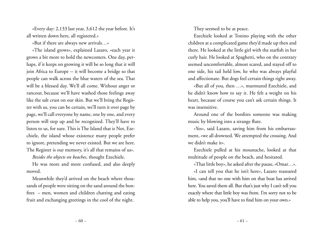«Every day: 2,133 last year, 3,612 the year before. It's all written down here, all registered.»

«But if there are always new arrivals…»

«The island grows», explained Lazaro, «each year it grows a bit more to hold the newcomers. One day, perhaps, if it keeps on growing it will be so long that it will join Africa to Europe -- it will become a bridge so that people can walk across the blue waters of the sea. That will be a blessed day. We'll all come. Without anger or rancour, because we'll have washed those feelings away like the salt crust on our skin. But we'll bring the Register with us, you can be certain, we'll turn it over page by page, we'll call everyone by name, one by one, and every person will step up and be recognized. They'll have to listen to us, for sure. This is The Island that is Not, Ezechiele, the island whose existence many people prefer to ignore, pretending we never existed. But we are here. The Register is our memory, it's all that remains of us».

*Besides the objects on beaches*, thought Ezechiele.

He was more and more confused, and also deeply moved.

Meanwhile they'd arrived on the beach where thousands of people were sitting on the sand around the bonfires – men, women and children chatting and eating fruit and exchanging greetings in the cool of the night.

They seemed to be at peace.

Ezechiele looked at Tonino playing with the other children at a complicated game they'd made up then and there. He looked at the little girl with the starfish in her curly hair. He looked at Spaghetti, who on the contrary seemed uncomfortable, almost scared, and stayed off to one side, his tail held low, he who was always playful and affectionate. But dogs feel certain things right away.

«But all of you, then …», murmured Ezechiele, and he didn't know how to say it. He felt a weight on his heart, because of course you can't ask certain things. It was insensitive.

Around one of the bonfires someone was making music by blowing into a strange flute.

«Yes», said Lazaro, saving him from his embarrassment, «we all drowned. We attempted the crossing. And we didn't make it».

Ezechiele pulled at his moustache, looked at that multitude of people on the beach, and hesitated.

«That little boy», he asked after the pause, «Omar…».

«I can tell you that he isn't here», Lazaro reassured him, «and that no one with him on that boat has arrived here. You saved them all. But that's just why I can't tell you exactly where that little boy was from. I'm sorry not to be able to help you, you'll have to find him on your own.»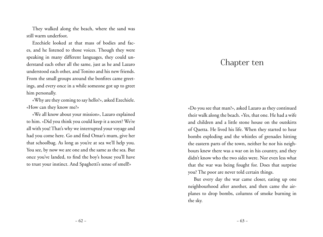They walked along the beach, where the sand was still warm underfoot.

Ezechiele looked at that mass of bodies and faces, and he listened to those voices. Though they were speaking in many different languages, they could understand each other all the same, just as he and Lazaro understood each other, and Tonino and his new friends. From the small groups around the bonfires came greetings, and every once in a while someone got up to greet him personally.

«Why are they coming to say hello?», asked Ezechiele. «How can they know me?»

«We all know about your mission», Lazaro explained to him. «Did you think you could keep it a secret? We're all with you! That's why we interrupted your voyage and had you come here. Go and find Omar's mum, give her that schoolbag. As long as you're at sea we'll help you. You see, by now we are one and the same as the sea. But once you've landed, to find the boy's house you'll have to trust your instinct. And Spaghetti's sense of smell!»

## Chapter ten

«Do you see that man?», asked Lazaro as they continued their walk along the beach. «Yes, that one. He had a wife and children and a little stone house on the outskirts of Quetta. He lived his life. When they started to hear bombs exploding and the whistles of grenades hitting the eastern parts of the town, neither he nor his neighbours knew there was a war on in his country, and they didn't know who the two sides were. Nor even less what that the war was being fought for. Does that surprise you? The poor are never told certain things.

But every day the war came closer, eating up one neighbourhood after another, and then came the airplanes to drop bombs, columns of smoke burning in the sky.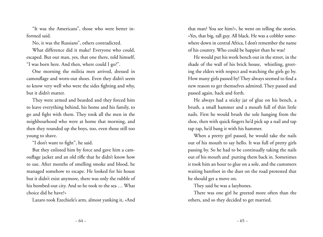"It was the Americans", those who were better informed said.

No, it was the Russians", others contradicted.

What difference did it make? Everyone who could, escaped. But our man, yes, that one there, told himself, "I was born here. And then, where could I go?".

One morning the militia men arrived, dressed in camouflage and worn-out shoes. Even they didn't seem to know very well who were the sides fighting and why, but it didn't matter.

They were armed and bearded and they forced him to leave everything behind, his home and his family, to go and fight with them. They took all the men in the neighbourhood who were at home that morning, and then they rounded up the boys, too, even those still too young to shave.

"I don't want to fight", he said.

But they enlisted him by force and gave him a camouflage jacket and an old rifle that he didn't know how to use. After months of smelling smoke and blood, he managed somehow to escape. He looked for his house but it didn't exist anymore, there was only the rubble of his bombed-out city. And so he took to the sea … What choice did he have?»

Lazaro took Ezechiele's arm, almost yanking it, «And

that man? You see him?», he went on telling the stories. «Yes, that big, tall guy. All black. He was a cobbler somewhere down in central Africa, I don't remember the name of his country. Who could be happier than he was?

He would put his work bench out in the street, in the shade of the wall of his brick house, whistling, greeting the elders with respect and watching the girls go by. How many girls passed by! They always seemed to find a new reason to get themselves admired. They passed and passed again, back and forth.

He always had a sticky jar of glue on his bench, a brush, a small hammer and a mouth full of thin little nails. First he would brush the sole hanging from the shoe, then with quick fingers he'd pick up a nail and tap tap tap, he'd bang it with his hammer.

When a pretty girl passed, he would take the nails out of his mouth to say hello. It was full of pretty girls passing by. So he had to be continually taking the nails out of his mouth and putting them back in. Sometimes it took him an hour to glue on a sole, and the customers waiting barefoot in the dust on the road protested that he should get a move on.

They said he was a lazybones.

There was one girl he greeted more often than the others, and so they decided to get married.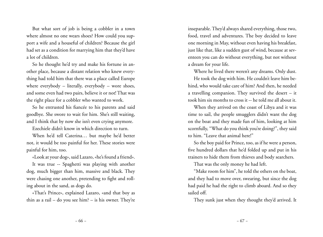But what sort of job is being a cobbler in a town where almost no one wears shoes? How could you support a wife and a houseful of children? Because the girl had set as a condition for marrying him that they'd have a lot of children.

So he thought he'd try and make his fortune in another place, because a distant relation who knew everything had told him that there was a place called Europe where everybody – literally, everybody – wore shoes, and some even had two pairs, believe it or not! That was the right place for a cobbler who wanted to work.

So he entrusted his fiancée to his parents and said goodbye. She swore to wait for him. She's still waiting, and I think that by now she isn't even crying anymore.

Ezechiele didn't know in which direction to turn.

When he'd tell Caterina… but maybe he'd better not, it would be too painful for her. These stories were painful for him, too.

«Look at your dog», said Lazaro, «he's found a friend». It was true -- Spaghetti was playing with another dog, much bigger than him, massive and black. They were chasing one another, pretending to fight and rolling about in the sand, as dogs do.

«That's Prince», explained Lazaro, «and that boy as thin as a rail – do you see him? – is his owner. They're

inseparable. They'd always shared everything, those two, food, travel and adventures. The boy decided to leave one morning in May, without even having his breakfast, just like that, like a sudden gust of wind, because at seventeen you can do without everything, but not without a dream for your life.

Where he lived there weren't any dreams. Only dust. He took the dog with him. He couldn't leave him behind, who would take care of him? And then, he needed a travelling companion. They survived the desert – it took him six months to cross it -- he told me all about it.

When they arrived on the coast of Libya and it was time to sail, the people smugglers didn't want the dog on the boat and they made fun of him, looking at him scornfully, "What do you think you're doing?", they said to him. "Leave that animal here!"

So the boy paid for Prince, too, as if he were a person, five hundred dollars that he'd folded up and put in his trainers to hide them from thieves and body searchers.

That was the only money he had left.

"Make room for him", he told the others on the boat, and they had to move over, swearing, but since the dog had paid he had the right to climb aboard. And so they sailed off.

They sunk just when they thought they'd arrived. It